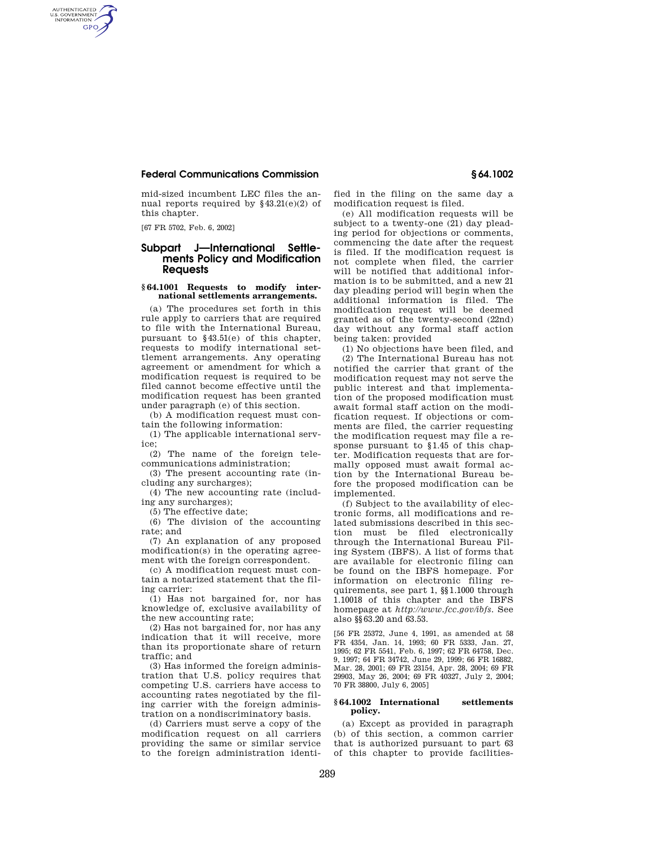### **Federal Communications Commission § 64.1002**

mid-sized incumbent LEC files the annual reports required by  $§43.21(e)(2)$  of this chapter.

[67 FR 5702, Feb. 6, 2002]

AUTHENTICATED<br>U.S. GOVERNMENT<br>INFORMATION **GPO** 

# **Subpart J—International Settlements Policy and Modification Requests**

#### **§ 64.1001 Requests to modify international settlements arrangements.**

(a) The procedures set forth in this rule apply to carriers that are required to file with the International Bureau, pursuant to §43.51(e) of this chapter, requests to modify international settlement arrangements. Any operating agreement or amendment for which a modification request is required to be filed cannot become effective until the modification request has been granted under paragraph (e) of this section.

(b) A modification request must contain the following information:

(1) The applicable international service;

(2) The name of the foreign telecommunications administration;

(3) The present accounting rate (including any surcharges);

(4) The new accounting rate (including any surcharges);

(5) The effective date;

(6) The division of the accounting rate; and

(7) An explanation of any proposed modification(s) in the operating agreement with the foreign correspondent.

(c) A modification request must contain a notarized statement that the filing carrier:

(1) Has not bargained for, nor has knowledge of, exclusive availability of the new accounting rate;

(2) Has not bargained for, nor has any indication that it will receive, more than its proportionate share of return traffic; and

(3) Has informed the foreign administration that U.S. policy requires that competing U.S. carriers have access to accounting rates negotiated by the filing carrier with the foreign administration on a nondiscriminatory basis.

(d) Carriers must serve a copy of the modification request on all carriers providing the same or similar service to the foreign administration identified in the filing on the same day a modification request is filed.

(e) All modification requests will be subject to a twenty-one (21) day pleading period for objections or comments, commencing the date after the request is filed. If the modification request is not complete when filed, the carrier will be notified that additional information is to be submitted, and a new 21 day pleading period will begin when the additional information is filed. The modification request will be deemed granted as of the twenty-second (22nd) day without any formal staff action being taken: provided

(1) No objections have been filed, and (2) The International Bureau has not notified the carrier that grant of the modification request may not serve the public interest and that implementation of the proposed modification must await formal staff action on the modification request. If objections or comments are filed, the carrier requesting the modification request may file a response pursuant to §1.45 of this chapter. Modification requests that are formally opposed must await formal action by the International Bureau before the proposed modification can be implemented.

(f) Subject to the availability of electronic forms, all modifications and related submissions described in this section must be filed electronically through the International Bureau Filing System (IBFS). A list of forms that are available for electronic filing can be found on the IBFS homepage. For information on electronic filing requirements, see part 1, §§1.1000 through 1.10018 of this chapter and the IBFS homepage at *http://www.fcc.gov/ibfs.* See also §§63.20 and 63.53.

[56 FR 25372, June 4, 1991, as amended at 58 FR 4354, Jan. 14, 1993; 60 FR 5333, Jan. 27, 1995; 62 FR 5541, Feb. 6, 1997; 62 FR 64758, Dec. 9, 1997; 64 FR 34742, June 29, 1999; 66 FR 16882, Mar. 28, 2001; 69 FR 23154, Apr. 28, 2004; 69 FR 29903, May 26, 2004; 69 FR 40327, July 2, 2004; 70 FR 38800, July 6, 2005]

## **§ 64.1002 International settlements policy.**

(a) Except as provided in paragraph (b) of this section, a common carrier that is authorized pursuant to part 63 of this chapter to provide facilities-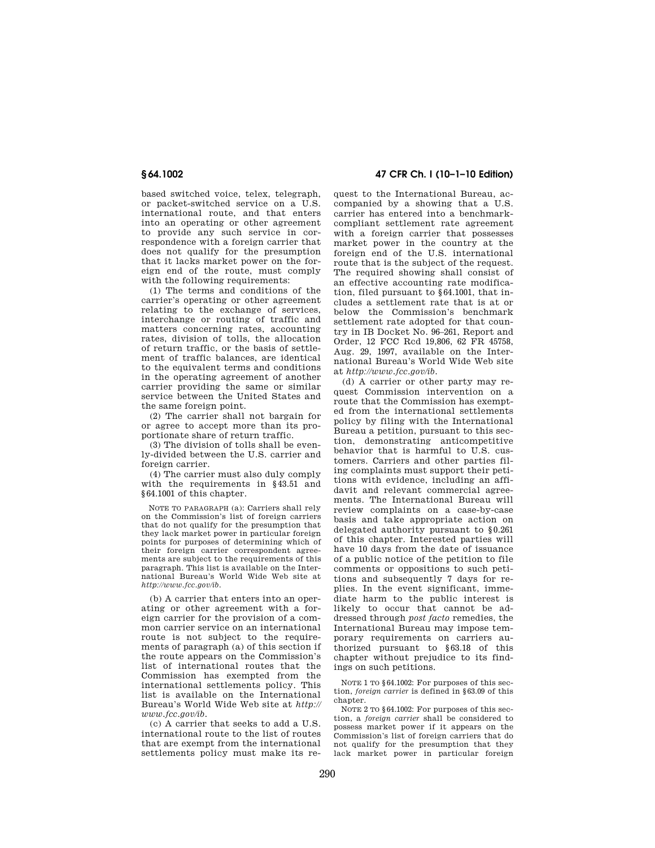based switched voice, telex, telegraph, or packet-switched service on a U.S. international route, and that enters into an operating or other agreement to provide any such service in correspondence with a foreign carrier that does not qualify for the presumption that it lacks market power on the foreign end of the route, must comply with the following requirements:

(1) The terms and conditions of the carrier's operating or other agreement relating to the exchange of services, interchange or routing of traffic and matters concerning rates, accounting rates, division of tolls, the allocation of return traffic, or the basis of settlement of traffic balances, are identical to the equivalent terms and conditions in the operating agreement of another carrier providing the same or similar service between the United States and the same foreign point.

(2) The carrier shall not bargain for or agree to accept more than its proportionate share of return traffic.

(3) The division of tolls shall be evenly-divided between the U.S. carrier and foreign carrier.

(4) The carrier must also duly comply with the requirements in §43.51 and §64.1001 of this chapter.

NOTE TO PARAGRAPH (a): Carriers shall rely on the Commission's list of foreign carriers that do not qualify for the presumption that they lack market power in particular foreign points for purposes of determining which of their foreign carrier correspondent agreements are subject to the requirements of this paragraph. This list is available on the International Bureau's World Wide Web site at *http://www.fcc.gov/ib.* 

(b) A carrier that enters into an operating or other agreement with a foreign carrier for the provision of a common carrier service on an international route is not subject to the requirements of paragraph (a) of this section if the route appears on the Commission's list of international routes that the Commission has exempted from the international settlements policy. This list is available on the International Bureau's World Wide Web site at *http:// www.fcc.gov/ib.* 

(c) A carrier that seeks to add a U.S. international route to the list of routes that are exempt from the international settlements policy must make its re-

**§ 64.1002 47 CFR Ch. I (10–1–10 Edition)** 

quest to the International Bureau, accompanied by a showing that a U.S. carrier has entered into a benchmarkcompliant settlement rate agreement with a foreign carrier that possesses market power in the country at the foreign end of the U.S. international route that is the subject of the request. The required showing shall consist of an effective accounting rate modification, filed pursuant to §64.1001, that includes a settlement rate that is at or below the Commission's benchmark settlement rate adopted for that country in IB Docket No. 96–261, Report and Order, 12 FCC Rcd 19,806, 62 FR 45758, Aug. 29, 1997, available on the International Bureau's World Wide Web site at *http://www.fcc.gov/ib.* 

(d) A carrier or other party may request Commission intervention on a route that the Commission has exempted from the international settlements policy by filing with the International Bureau a petition, pursuant to this section, demonstrating anticompetitive behavior that is harmful to U.S. customers. Carriers and other parties filing complaints must support their petitions with evidence, including an affidavit and relevant commercial agreements. The International Bureau will review complaints on a case-by-case basis and take appropriate action on delegated authority pursuant to §0.261 of this chapter. Interested parties will have 10 days from the date of issuance of a public notice of the petition to file comments or oppositions to such petitions and subsequently 7 days for replies. In the event significant, immediate harm to the public interest is likely to occur that cannot be addressed through *post facto* remedies, the International Bureau may impose temporary requirements on carriers authorized pursuant to §63.18 of this chapter without prejudice to its findings on such petitions.

NOTE 1 TO §64.1002: For purposes of this section, *foreign carrier* is defined in §63.09 of this chapter.

NOTE 2 TO §64.1002: For purposes of this section, a *foreign carrier* shall be considered to possess market power if it appears on the Commission's list of foreign carriers that do not qualify for the presumption that they lack market power in particular foreign